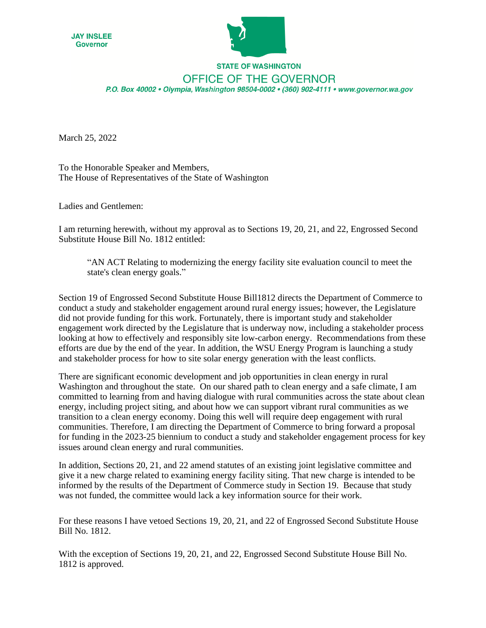



## **STATE OF WASHINGTON** OFFICE OF THE GOVERNOR P.O. Box 40002 · Olympia, Washington 98504-0002 · (360) 902-4111 · www.governor.wa.gov

March 25, 2022

To the Honorable Speaker and Members, The House of Representatives of the State of Washington

Ladies and Gentlemen:

I am returning herewith, without my approval as to Sections 19, 20, 21, and 22, Engrossed Second Substitute House Bill No. 1812 entitled:

³AN ACT Relating to modernizing the energy facility site evaluation council to meet the state's clean energy goals."

Section 19 of Engrossed Second Substitute House Bill1812 directs the Department of Commerce to conduct a study and stakeholder engagement around rural energy issues; however, the Legislature did not provide funding for this work. Fortunately, there is important study and stakeholder engagement work directed by the Legislature that is underway now, including a stakeholder process looking at how to effectively and responsibly site low-carbon energy. Recommendations from these efforts are due by the end of the year. In addition, the WSU Energy Program is launching a study and stakeholder process for how to site solar energy generation with the least conflicts.

There are significant economic development and job opportunities in clean energy in rural Washington and throughout the state. On our shared path to clean energy and a safe climate, I am committed to learning from and having dialogue with rural communities across the state about clean energy, including project siting, and about how we can support vibrant rural communities as we transition to a clean energy economy. Doing this well will require deep engagement with rural communities. Therefore, I am directing the Department of Commerce to bring forward a proposal for funding in the 2023-25 biennium to conduct a study and stakeholder engagement process for key issues around clean energy and rural communities.

In addition, Sections 20, 21, and 22 amend statutes of an existing joint legislative committee and give it a new charge related to examining energy facility siting. That new charge is intended to be informed by the results of the Department of Commerce study in Section 19. Because that study was not funded, the committee would lack a key information source for their work.

For these reasons I have vetoed Sections 19, 20, 21, and 22 of Engrossed Second Substitute House Bill No. 1812.

With the exception of Sections 19, 20, 21, and 22, Engrossed Second Substitute House Bill No. 1812 is approved.